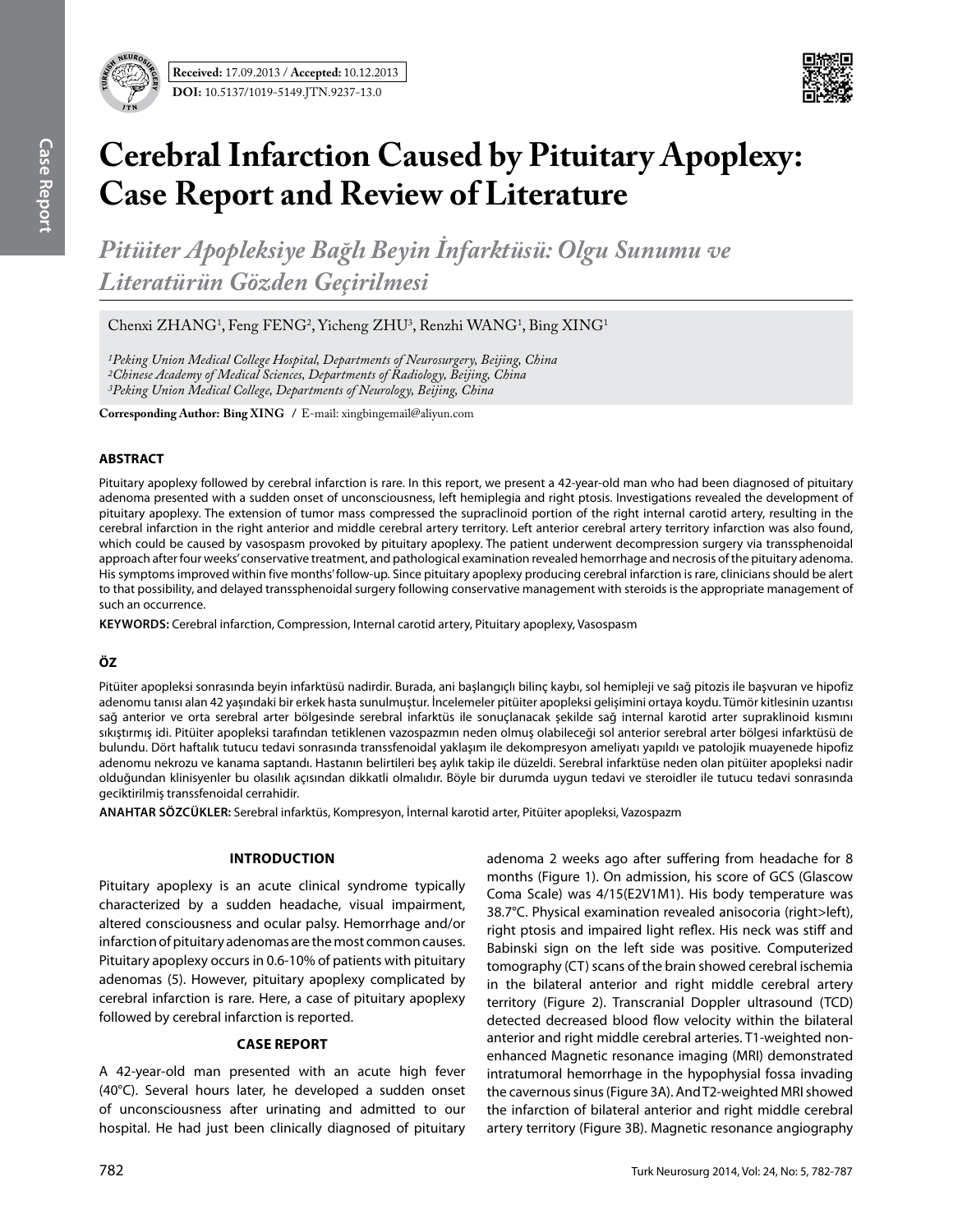

# **Cerebral Infarction Caused by Pituitary Apoplexy: Case Report and Review of Literature**

*Pitüiter Apopleksiye Bağlı Beyin İnfarktüsü: Olgu Sunumu ve Literatürün Gözden Geçirilmesi*

Chenxi ZHANG<sup>1</sup>, Feng FENG<sup>2</sup>, Yicheng ZHU<sup>3</sup>, Renzhi WANG<sup>1</sup>, Bing XING<sup>1</sup>

*1Peking Union Medical College Hospital, Departments of Neurosurgery, Beijing, China 2Chinese Academy of Medical Sciences, Departments of Radiology, Beijing, China 3Peking Union Medical College, Departments of Neurology, Beijing, China*

**Corresponding Author: Bing Xıng /** E-mail: xingbingemail@aliyun.com

### **ABSTRACT**

Pituitary apoplexy followed by cerebral infarction is rare. In this report, we present a 42-year-old man who had been diagnosed of pituitary adenoma presented with a sudden onset of unconsciousness, left hemiplegia and right ptosis. Investigations revealed the development of pituitary apoplexy. The extension of tumor mass compressed the supraclinoid portion of the right internal carotid artery, resulting in the cerebral infarction in the right anterior and middle cerebral artery territory. Left anterior cerebral artery territory infarction was also found, which could be caused by vasospasm provoked by pituitary apoplexy. The patient underwent decompression surgery via transsphenoidal approach after four weeks' conservative treatment, and pathological examination revealed hemorrhage and necrosis of the pituitary adenoma. His symptoms improved within five months' follow-up. Since pituitary apoplexy producing cerebral infarction is rare, clinicians should be alert to that possibility, and delayed transsphenoidal surgery following conservative management with steroids is the appropriate management of such an occurrence.

**Keywords:** Cerebral infarction, Compression, Internal carotid artery, Pituitary apoplexy, Vasospasm

## **ÖZ**

Pitüiter apopleksi sonrasında beyin infarktüsü nadirdir. Burada, ani başlangıçlı bilinç kaybı, sol hemipleji ve sağ pitozis ile başvuran ve hipofiz adenomu tanısı alan 42 yaşındaki bir erkek hasta sunulmuştur. İncelemeler pitüiter apopleksi gelişimini ortaya koydu. Tümör kitlesinin uzantısı sağ anterior ve orta serebral arter bölgesinde serebral infarktüs ile sonuçlanacak şekilde sağ internal karotid arter supraklinoid kısmını sıkıştırmış idi. Pitüiter apopleksi tarafından tetiklenen vazospazmın neden olmuş olabileceği sol anterior serebral arter bölgesi infarktüsü de bulundu. Dört haftalık tutucu tedavi sonrasında transsfenoidal yaklaşım ile dekompresyon ameliyatı yapıldı ve patolojik muayenede hipofiz adenomu nekrozu ve kanama saptandı. Hastanın belirtileri beş aylık takip ile düzeldi. Serebral infarktüse neden olan pitüiter apopleksi nadir olduğundan klinisyenler bu olasılık açısından dikkatli olmalıdır. Böyle bir durumda uygun tedavi ve steroidler ile tutucu tedavi sonrasında geciktirilmiş transsfenoidal cerrahidir.

**ANAHTAR SÖZCÜKLER:** Serebral infarktüs, Kompresyon, İnternal karotid arter, Pitüiter apopleksi, Vazospazm

#### **Introduction**

Pituitary apoplexy is an acute clinical syndrome typically characterized by a sudden headache, visual impairment, altered consciousness and ocular palsy. Hemorrhage and/or infarction of pituitary adenomas are the most common causes. Pituitary apoplexy occurs in 0.6-10% of patients with pituitary adenomas (5). However, pituitary apoplexy complicated by cerebral infarction is rare. Here, a case of pituitary apoplexy followed by cerebral infarction is reported.

## **Case report**

A 42-year-old man presented with an acute high fever (40°C). Several hours later, he developed a sudden onset of unconsciousness after urinating and admitted to our hospital. He had just been clinically diagnosed of pituitary adenoma 2 weeks ago after suffering from headache for 8 months (Figure 1). On admission, his score of GCS (Glascow Coma Scale) was 4/15(E2V1M1). His body temperature was 38.7°C. Physical examination revealed anisocoria (right>left), right ptosis and impaired light reflex. His neck was stiff and Babinski sign on the left side was positive. Computerized tomography (CT) scans of the brain showed cerebral ischemia in the bilateral anterior and right middle cerebral artery territory (Figure 2). Transcranial Doppler ultrasound (TCD) detected decreased blood flow velocity within the bilateral anterior and right middle cerebral arteries. T1-weighted nonenhanced Magnetic resonance imaging (MRI) demonstrated intratumoral hemorrhage in the hypophysial fossa invading the cavernous sinus (Figure 3A). And T2-weighted MRI showed the infarction of bilateral anterior and right middle cerebral artery territory (Figure 3B). Magnetic resonance angiography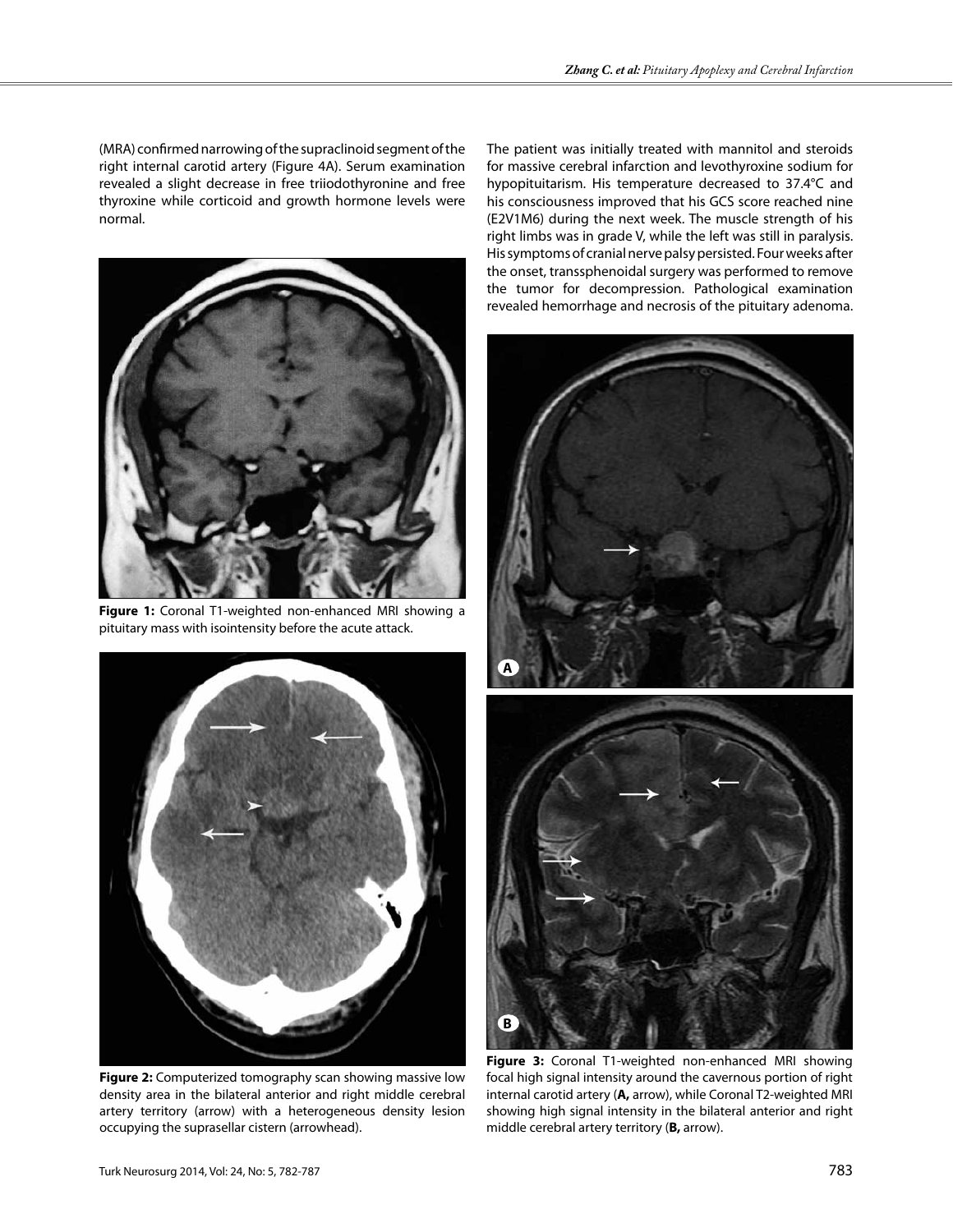(MRA) confirmed narrowing of the supraclinoid segment of the right internal carotid artery (Figure 4A). Serum examination revealed a slight decrease in free triiodothyronine and free thyroxine while corticoid and growth hormone levels were normal.



**Figure 1:** Coronal T1-weighted non-enhanced MRI showing a pituitary mass with isointensity before the acute attack.



**Figure 2:** Computerized tomography scan showing massive low density area in the bilateral anterior and right middle cerebral artery territory (arrow) with a heterogeneous density lesion occupying the suprasellar cistern (arrowhead).

The patient was initially treated with mannitol and steroids for massive cerebral infarction and levothyroxine sodium for hypopituitarism. His temperature decreased to 37.4°C and his consciousness improved that his GCS score reached nine (E2V1M6) during the next week. The muscle strength of his right limbs was in grade V, while the left was still in paralysis. His symptoms of cranial nerve palsy persisted. Four weeks after the onset, transsphenoidal surgery was performed to remove the tumor for decompression. Pathological examination revealed hemorrhage and necrosis of the pituitary adenoma.



**Figure 3:** Coronal T1-weighted non-enhanced MRI showing focal high signal intensity around the cavernous portion of right internal carotid artery (**A,** arrow), while Coronal T2-weighted MRI showing high signal intensity in the bilateral anterior and right middle cerebral artery territory (**B,** arrow).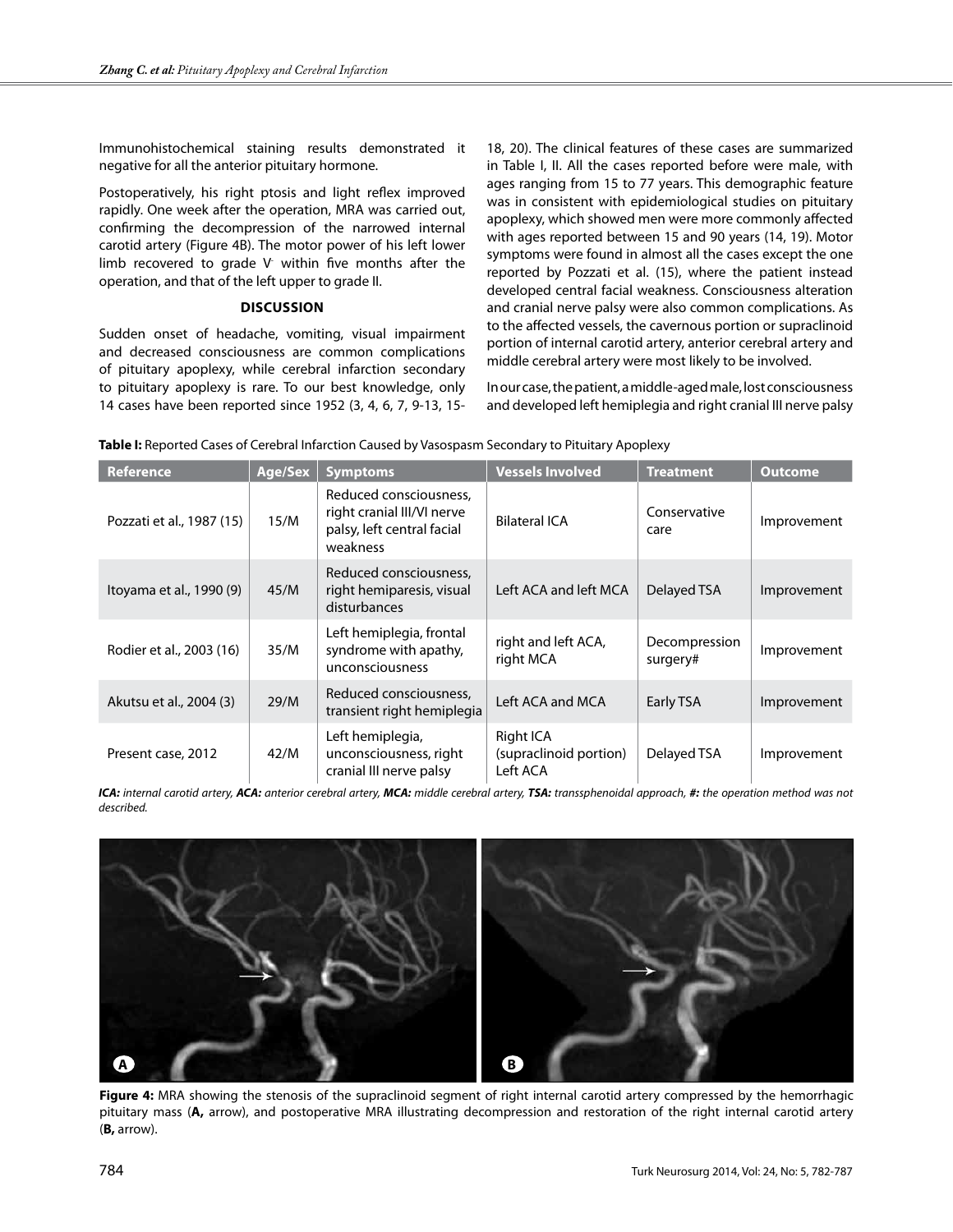Immunohistochemical staining results demonstrated it negative for all the anterior pituitary hormone.

Postoperatively, his right ptosis and light reflex improved rapidly. One week after the operation, MRA was carried out, confirming the decompression of the narrowed internal carotid artery (Figure 4B). The motor power of his left lower limb recovered to grade V within five months after the operation, and that of the left upper to grade II.

#### **Discussion**

Sudden onset of headache, vomiting, visual impairment and decreased consciousness are common complications of pituitary apoplexy, while cerebral infarction secondary to pituitary apoplexy is rare. To our best knowledge, only 14 cases have been reported since 1952 (3, 4, 6, 7, 9-13, 15-

18, 20). The clinical features of these cases are summarized in Table I, II. All the cases reported before were male, with ages ranging from 15 to 77 years. This demographic feature was in consistent with epidemiological studies on pituitary apoplexy, which showed men were more commonly affected with ages reported between 15 and 90 years (14, 19). Motor symptoms were found in almost all the cases except the one reported by Pozzati et al. (15), where the patient instead developed central facial weakness. Consciousness alteration and cranial nerve palsy were also common complications. As to the affected vessels, the cavernous portion or supraclinoid portion of internal carotid artery, anterior cerebral artery and middle cerebral artery were most likely to be involved.

In our case, the patient, a middle-aged male, lost consciousness and developed left hemiplegia and right cranial III nerve palsy

| <b>Reference</b>          | Age/Sex | <b>Symptoms</b>                                                                                | <b>Vessels Involved</b>                         | <b>Treatment</b>          | <b>Outcome</b> |  |
|---------------------------|---------|------------------------------------------------------------------------------------------------|-------------------------------------------------|---------------------------|----------------|--|
| Pozzati et al., 1987 (15) | 15/M    | Reduced consciousness,<br>right cranial III/VI nerve<br>palsy, left central facial<br>weakness | <b>Bilateral ICA</b>                            | Conservative<br>care      | Improvement    |  |
| Itoyama et al., 1990 (9)  | 45/M    | Reduced consciousness,<br>right hemiparesis, visual<br>disturbances                            | Left ACA and left MCA                           | Delayed TSA               | Improvement    |  |
| Rodier et al., 2003 (16)  | 35/M    | Left hemiplegia, frontal<br>syndrome with apathy,<br>unconsciousness                           | right and left ACA,<br>right MCA                | Decompression<br>surgery# | Improvement    |  |
| Akutsu et al., 2004 (3)   | 29/M    | Reduced consciousness,<br>transient right hemiplegia                                           | Left ACA and MCA                                | Early TSA                 | Improvement    |  |
| Present case, 2012        | 42/M    | Left hemiplegia,<br>unconsciousness, right<br>cranial III nerve palsy                          | Right ICA<br>(supraclinoid portion)<br>Left ACA | Delayed TSA               | Improvement    |  |

**Table I:** Reported Cases of Cerebral Infarction Caused by Vasospasm Secondary to Pituitary Apoplexy

*ICA: internal carotid artery, ACA: anterior cerebral artery, MCA: middle cerebral artery, TSA: transsphenoidal approach, #: the operation method was not described.*



**Figure 4:** MRA showing the stenosis of the supraclinoid segment of right internal carotid artery compressed by the hemorrhagic pituitary mass (**A,** arrow), and postoperative MRA illustrating decompression and restoration of the right internal carotid artery (**B,** arrow).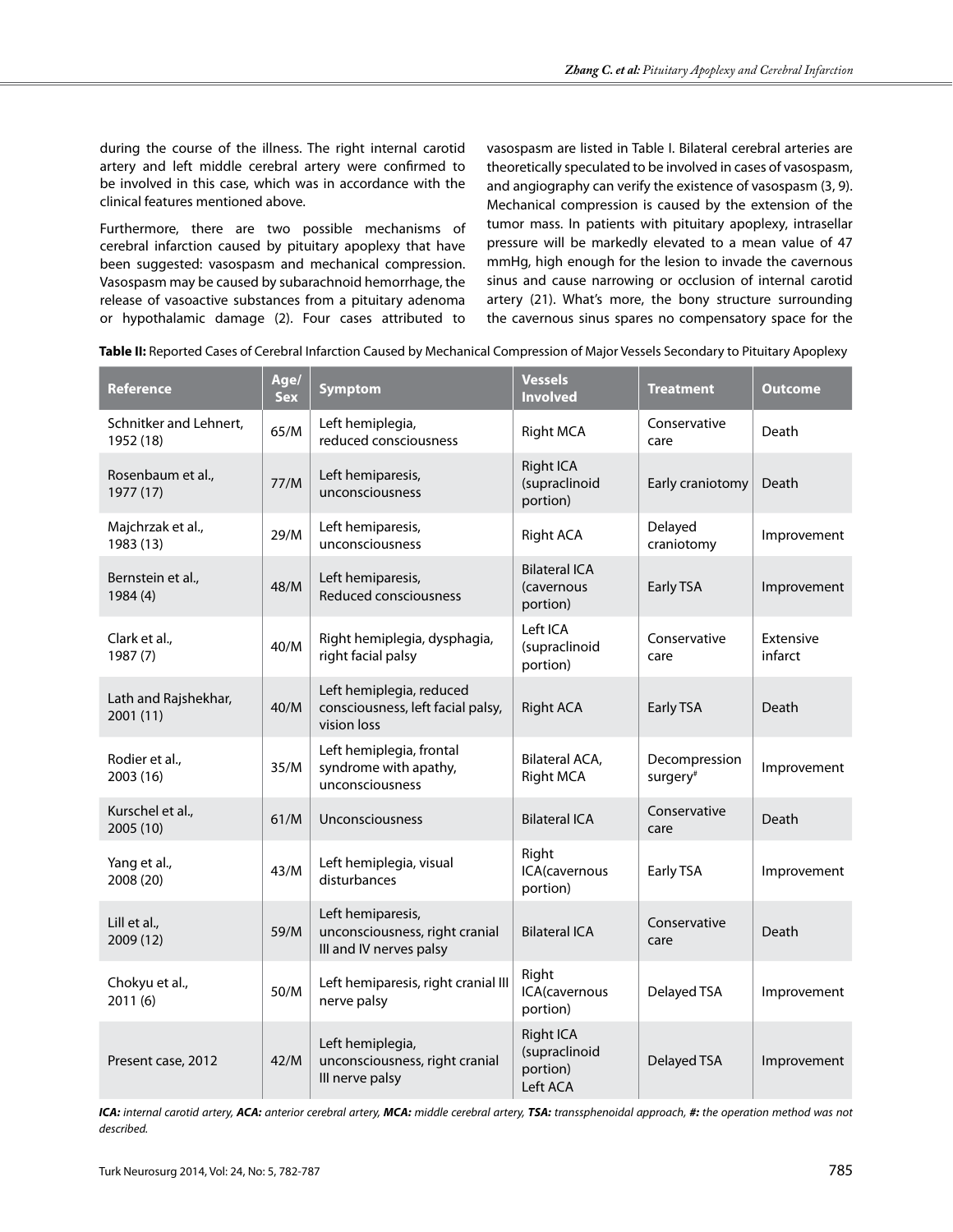during the course of the illness. The right internal carotid artery and left middle cerebral artery were confirmed to be involved in this case, which was in accordance with the clinical features mentioned above.

Furthermore, there are two possible mechanisms of cerebral infarction caused by pituitary apoplexy that have been suggested: vasospasm and mechanical compression. Vasospasm may be caused by subarachnoid hemorrhage, the release of vasoactive substances from a pituitary adenoma or hypothalamic damage (2). Four cases attributed to vasospasm are listed in Table I. Bilateral cerebral arteries are theoretically speculated to be involved in cases of vasospasm, and angiography can verify the existence of vasospasm (3, 9). Mechanical compression is caused by the extension of the tumor mass. In patients with pituitary apoplexy, intrasellar pressure will be markedly elevated to a mean value of 47 mmHg, high enough for the lesion to invade the cavernous sinus and cause narrowing or occlusion of internal carotid artery (21). What's more, the bony structure surrounding the cavernous sinus spares no compensatory space for the

| <b>Reference</b>                    | Age/<br><b>Sex</b> | <b>Symptom</b>                                                                 | <b>Vessels</b><br><b>Involved</b>                         | <b>Treatment</b>                      | Outcome              |
|-------------------------------------|--------------------|--------------------------------------------------------------------------------|-----------------------------------------------------------|---------------------------------------|----------------------|
| Schnitker and Lehnert,<br>1952 (18) | 65/M               | Left hemiplegia,<br>reduced consciousness                                      | <b>Right MCA</b>                                          | Conservative<br>care                  | Death                |
| Rosenbaum et al.,<br>1977 (17)      | 77/M               | Left hemiparesis,<br>unconsciousness                                           | <b>Right ICA</b><br>(supraclinoid<br>portion)             | Early craniotomy                      | Death                |
| Majchrzak et al.,<br>1983 (13)      | 29/M               | Left hemiparesis,<br>unconsciousness                                           | Right ACA                                                 | Delayed<br>craniotomy                 | Improvement          |
| Bernstein et al.,<br>1984 (4)       | 48/M               | Left hemiparesis,<br><b>Reduced consciousness</b>                              | <b>Bilateral ICA</b><br>(cavernous<br>portion)            | Early TSA                             | Improvement          |
| Clark et al.,<br>1987 (7)           | 40/M               | Right hemiplegia, dysphagia,<br>right facial palsy                             | Left ICA<br>(supraclinoid<br>portion)                     | Conservative<br>care                  | Extensive<br>infarct |
| Lath and Rajshekhar,<br>2001(11)    | 40/M               | Left hemiplegia, reduced<br>consciousness, left facial palsy,<br>vision loss   | <b>Right ACA</b>                                          | Early TSA                             | Death                |
| Rodier et al.,<br>2003 (16)         | 35/M               | Left hemiplegia, frontal<br>syndrome with apathy,<br>unconsciousness           | Bilateral ACA,<br><b>Right MCA</b>                        | Decompression<br>surgery <sup>#</sup> | Improvement          |
| Kurschel et al.,<br>2005 (10)       | 61/M               | Unconsciousness                                                                | <b>Bilateral ICA</b>                                      | Conservative<br>care                  | Death                |
| Yang et al.,<br>2008 (20)           | 43/M               | Left hemiplegia, visual<br>disturbances                                        | Right<br>ICA(cavernous<br>portion)                        | Early TSA                             | Improvement          |
| Lill et al.,<br>2009 (12)           | 59/M               | Left hemiparesis,<br>unconsciousness, right cranial<br>III and IV nerves palsy | <b>Bilateral ICA</b>                                      | Conservative<br>care                  | Death                |
| Chokyu et al.,<br>2011(6)           | 50/M               | Left hemiparesis, right cranial III<br>nerve palsy                             | Right<br>ICA(cavernous<br>portion)                        | Delayed TSA                           | Improvement          |
| Present case, 2012                  | 42/M               | Left hemiplegia,<br>unconsciousness, right cranial<br>III nerve palsy          | <b>Right ICA</b><br>(supraclinoid<br>portion)<br>Left ACA | Delayed TSA                           | Improvement          |

**Table II:** Reported Cases of Cerebral Infarction Caused by Mechanical Compression of Major Vessels Secondary to Pituitary Apoplexy

*ICA: internal carotid artery, ACA: anterior cerebral artery, MCA: middle cerebral artery, TSA: transsphenoidal approach, #: the operation method was not described.*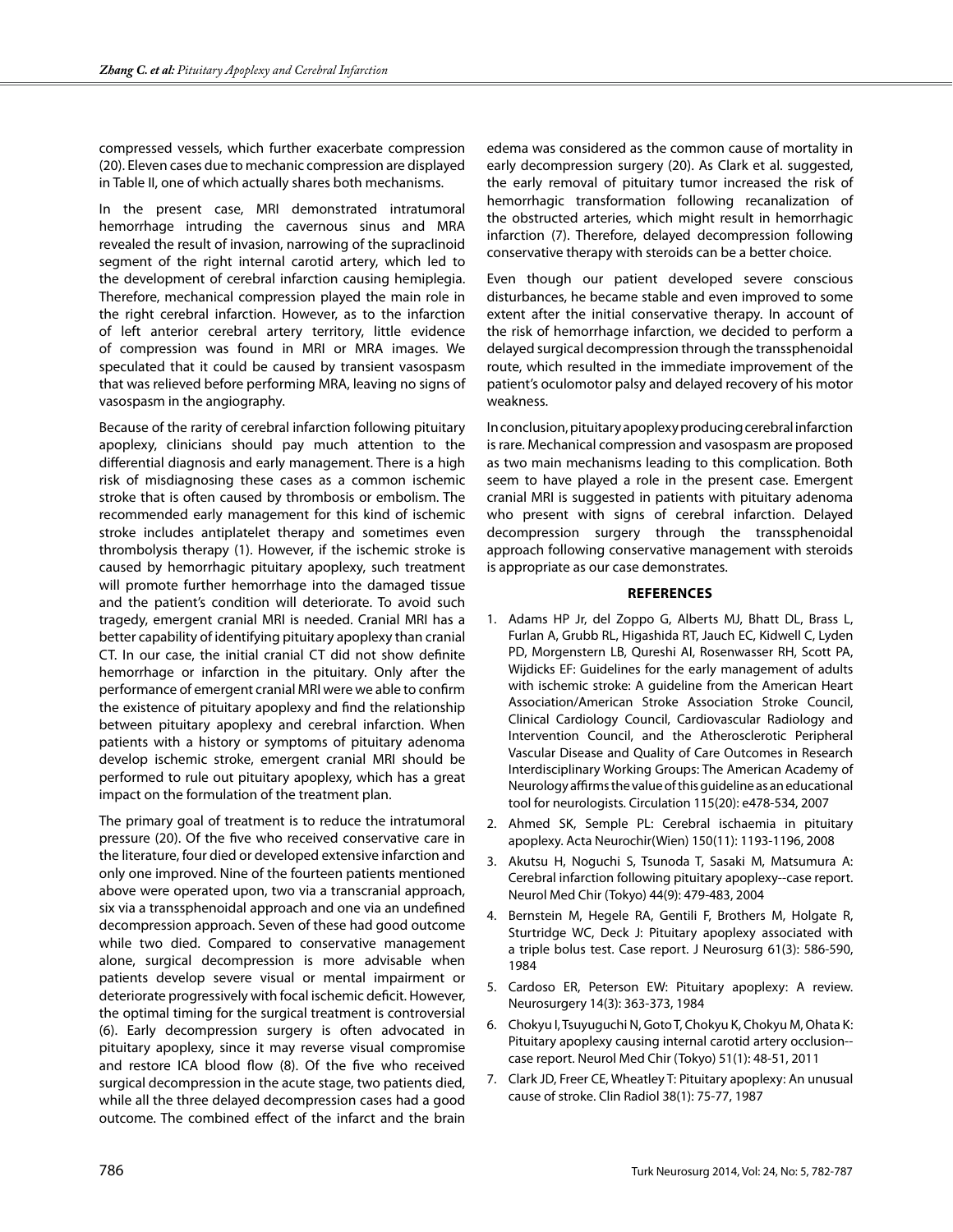compressed vessels, which further exacerbate compression (20). Eleven cases due to mechanic compression are displayed in Table II, one of which actually shares both mechanisms.

In the present case, MRI demonstrated intratumoral hemorrhage intruding the cavernous sinus and MRA revealed the result of invasion, narrowing of the supraclinoid segment of the right internal carotid artery, which led to the development of cerebral infarction causing hemiplegia. Therefore, mechanical compression played the main role in the right cerebral infarction. However, as to the infarction of left anterior cerebral artery territory, little evidence of compression was found in MRI or MRA images. We speculated that it could be caused by transient vasospasm that was relieved before performing MRA, leaving no signs of vasospasm in the angiography.

Because of the rarity of cerebral infarction following pituitary apoplexy, clinicians should pay much attention to the differential diagnosis and early management. There is a high risk of misdiagnosing these cases as a common ischemic stroke that is often caused by thrombosis or embolism. The recommended early management for this kind of ischemic stroke includes antiplatelet therapy and sometimes even thrombolysis therapy (1). However, if the ischemic stroke is caused by hemorrhagic pituitary apoplexy, such treatment will promote further hemorrhage into the damaged tissue and the patient's condition will deteriorate. To avoid such tragedy, emergent cranial MRI is needed. Cranial MRI has a better capability of identifying pituitary apoplexy than cranial CT. In our case, the initial cranial CT did not show definite hemorrhage or infarction in the pituitary. Only after the performance of emergent cranial MRI were we able to confirm the existence of pituitary apoplexy and find the relationship between pituitary apoplexy and cerebral infarction. When patients with a history or symptoms of pituitary adenoma develop ischemic stroke, emergent cranial MRI should be performed to rule out pituitary apoplexy, which has a great impact on the formulation of the treatment plan.

The primary goal of treatment is to reduce the intratumoral pressure (20). Of the five who received conservative care in the literature, four died or developed extensive infarction and only one improved. Nine of the fourteen patients mentioned above were operated upon, two via a transcranial approach, six via a transsphenoidal approach and one via an undefined decompression approach. Seven of these had good outcome while two died. Compared to conservative management alone, surgical decompression is more advisable when patients develop severe visual or mental impairment or deteriorate progressively with focal ischemic deficit. However, the optimal timing for the surgical treatment is controversial (6). Early decompression surgery is often advocated in pituitary apoplexy, since it may reverse visual compromise and restore ICA blood flow (8). Of the five who received surgical decompression in the acute stage, two patients died, while all the three delayed decompression cases had a good outcome. The combined effect of the infarct and the brain

edema was considered as the common cause of mortality in early decompression surgery (20). As Clark et al. suggested, the early removal of pituitary tumor increased the risk of hemorrhagic transformation following recanalization of the obstructed arteries, which might result in hemorrhagic infarction (7). Therefore, delayed decompression following conservative therapy with steroids can be a better choice.

Even though our patient developed severe conscious disturbances, he became stable and even improved to some extent after the initial conservative therapy. In account of the risk of hemorrhage infarction, we decided to perform a delayed surgical decompression through the transsphenoidal route, which resulted in the immediate improvement of the patient's oculomotor palsy and delayed recovery of his motor weakness.

In conclusion, pituitary apoplexy producing cerebral infarction is rare. Mechanical compression and vasospasm are proposed as two main mechanisms leading to this complication. Both seem to have played a role in the present case. Emergent cranial MRI is suggested in patients with pituitary adenoma who present with signs of cerebral infarction. Delayed decompression surgery through the transsphenoidal approach following conservative management with steroids is appropriate as our case demonstrates.

#### **References**

- 1. Adams HP Jr, del Zoppo G, Alberts MJ, Bhatt DL, Brass L, Furlan A, Grubb RL, Higashida RT, Jauch EC, Kidwell C, Lyden PD, Morgenstern LB, Qureshi AI, Rosenwasser RH, Scott PA, Wijdicks EF: Guidelines for the early management of adults with ischemic stroke: A guideline from the American Heart Association/American Stroke Association Stroke Council, Clinical Cardiology Council, Cardiovascular Radiology and Intervention Council, and the Atherosclerotic Peripheral Vascular Disease and Quality of Care Outcomes in Research Interdisciplinary Working Groups: The American Academy of Neurology affirms the value of this guideline as an educational tool for neurologists. Circulation 115(20): e478-534, 2007
- 2. Ahmed SK, Semple PL: Cerebral ischaemia in pituitary apoplexy. Acta Neurochir(Wien) 150(11): 1193-1196, 2008
- 3. Akutsu H, Noguchi S, Tsunoda T, Sasaki M, Matsumura A: Cerebral infarction following pituitary apoplexy--case report. Neurol Med Chir (Tokyo) 44(9): 479-483, 2004
- 4. Bernstein M, Hegele RA, Gentili F, Brothers M, Holgate R, Sturtridge WC, Deck J: Pituitary apoplexy associated with a triple bolus test. Case report. J Neurosurg 61(3): 586-590, 1984
- 5. Cardoso ER, Peterson EW: Pituitary apoplexy: A review. Neurosurgery 14(3): 363-373, 1984
- 6. Chokyu I, Tsuyuguchi N, Goto T, Chokyu K, Chokyu M, Ohata K: Pituitary apoplexy causing internal carotid artery occlusion- case report. Neurol Med Chir (Tokyo) 51(1): 48-51, 2011
- 7. Clark JD, Freer CE, Wheatley T: Pituitary apoplexy: An unusual cause of stroke. Clin Radiol 38(1): 75-77, 1987